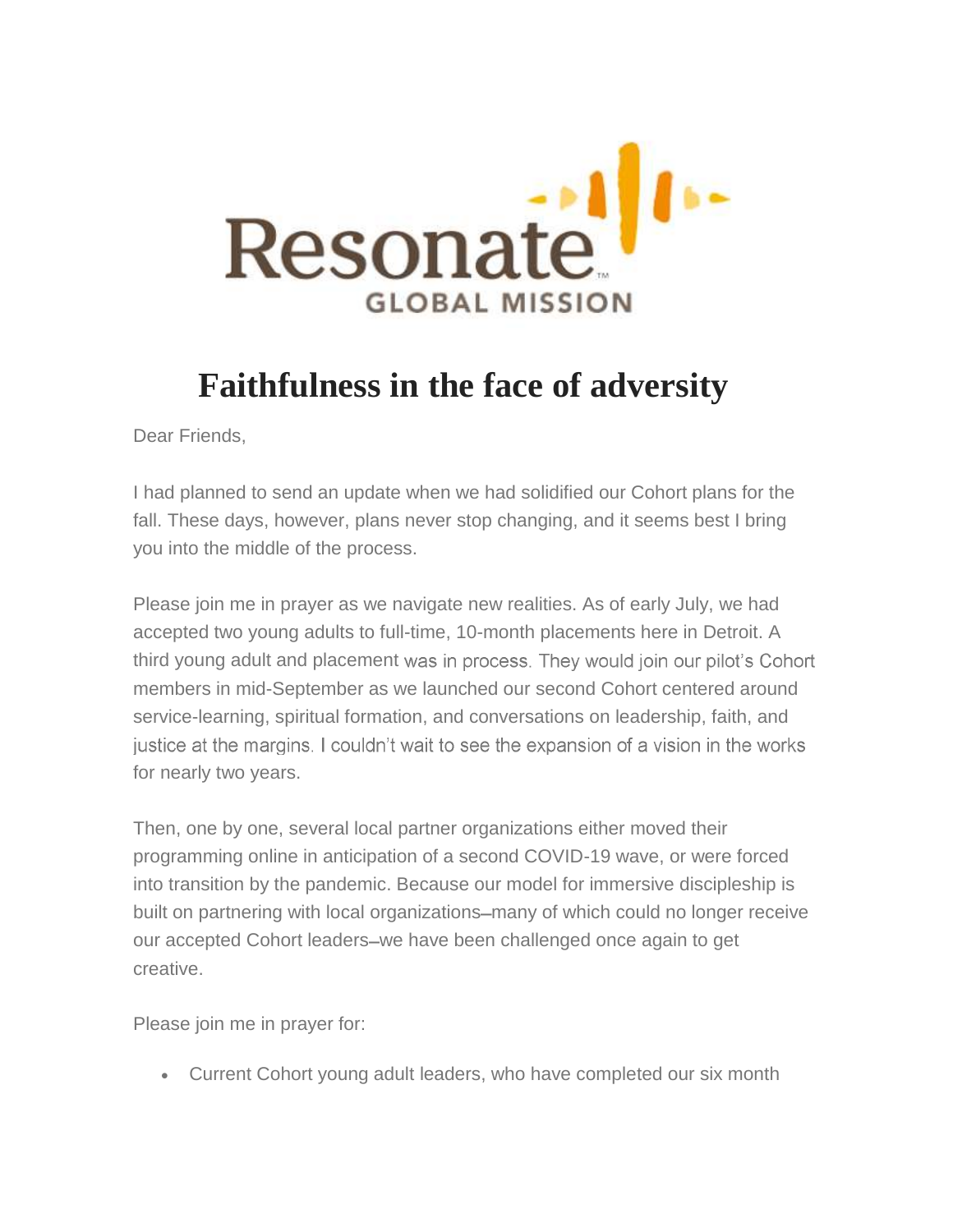

## **Faithfulness in the face of adversity**

Dear Friends,

I had planned to send an update when we had solidified our Cohort plans for the fall. These days, however, plans never stop changing, and it seems best I bring you into the middle of the process.

Please join me in prayer as we navigate new realities. As of early July, we had accepted two young adults to full-time, 10-month placements here in Detroit. A third young adult and placement was in process. They would join our pilot's Cohort members in mid-September as we launched our second Cohort centered around service-learning, spiritual formation, and conversations on leadership, faith, and justice at the margins. I couldn't wait to see the expansion of a vision in the works for nearly two years.

Then, one by one, several local partner organizations either moved their programming online in anticipation of a second COVID-19 wave, or were forced into transition by the pandemic. Because our model for immersive discipleship is built on partnering with local organizations—many of which could no longer receive our accepted Cohort leaders-we have been challenged once again to get creative.

Please join me in prayer for:

Current Cohort young adult leaders, who have completed our six month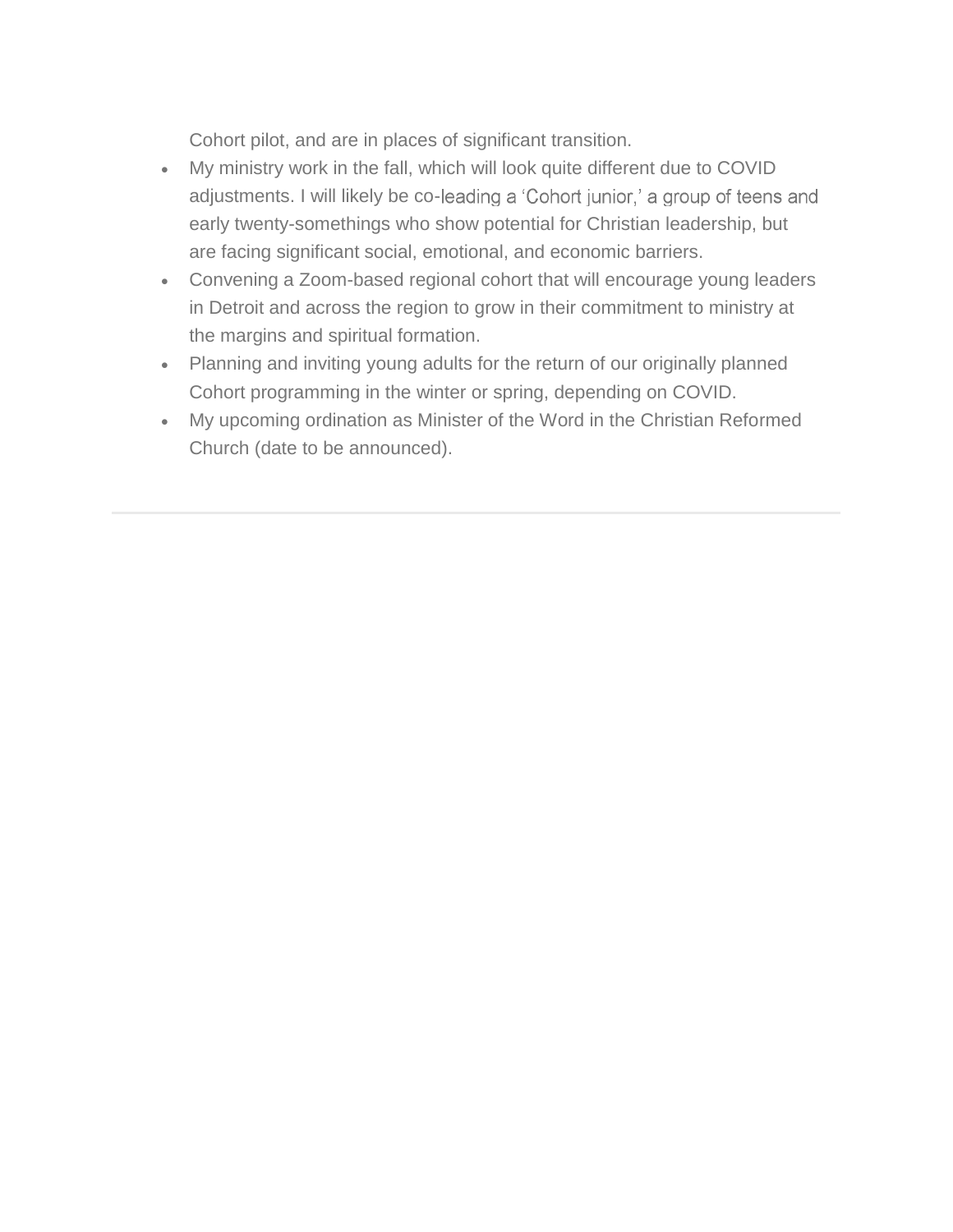Cohort pilot, and are in places of significant transition.

- My ministry work in the fall, which will look quite different due to COVID adjustments. I will likely be co-leading a 'Cohort junior,' a group of teens and early twenty-somethings who show potential for Christian leadership, but are facing significant social, emotional, and economic barriers.
- Convening a Zoom-based regional cohort that will encourage young leaders in Detroit and across the region to grow in their commitment to ministry at the margins and spiritual formation.
- Planning and inviting young adults for the return of our originally planned Cohort programming in the winter or spring, depending on COVID.
- My upcoming ordination as Minister of the Word in the Christian Reformed Church (date to be announced).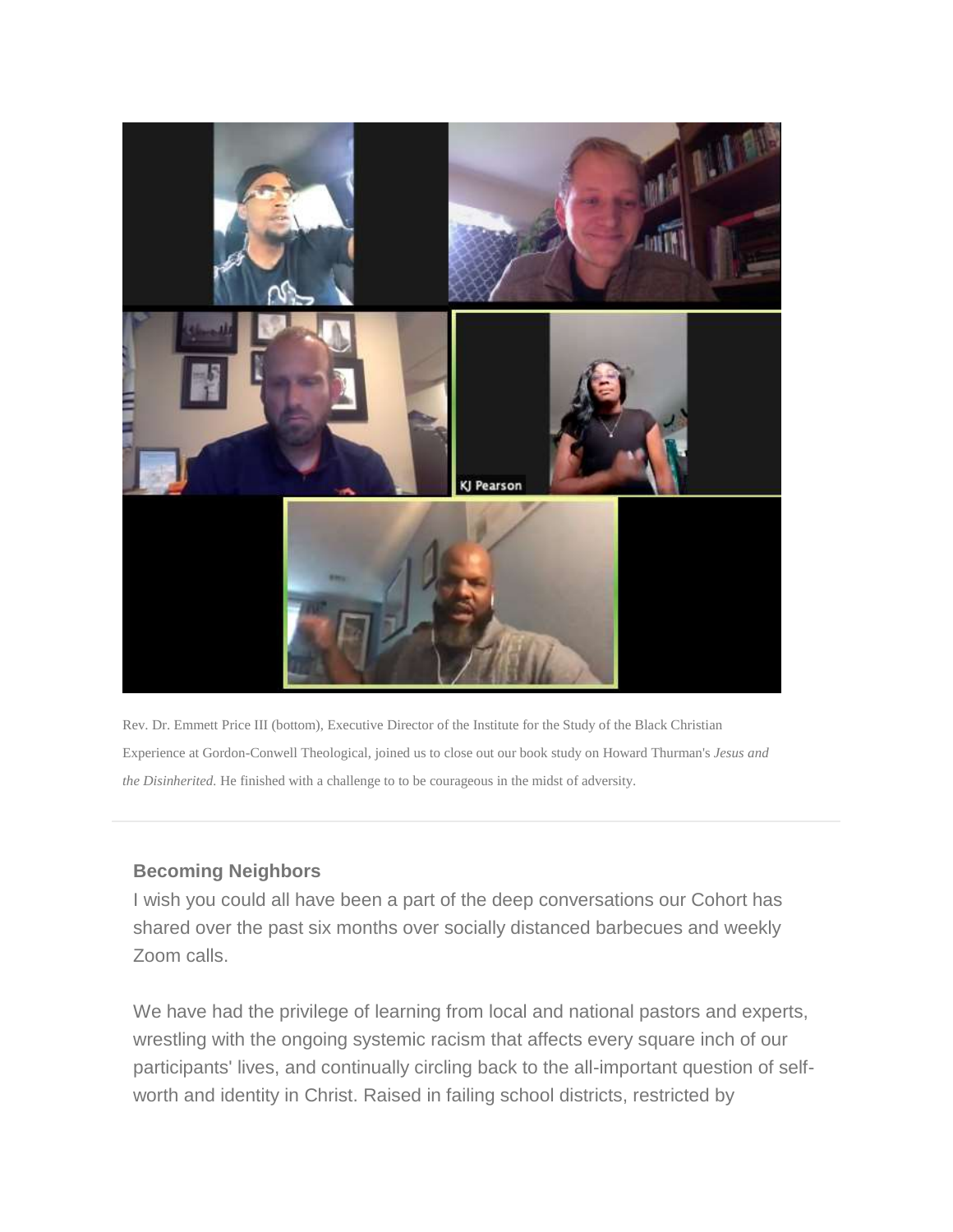

Rev. Dr. Emmett Price III (bottom), Executive Director of the Institute for the Study of the Black Christian Experience at Gordon-Conwell Theological, joined us to close out our book study on Howard Thurman's *Jesus and the Disinherited.* He finished with a challenge to to be courageous in the midst of adversity.

## **Becoming Neighbors**

I wish you could all have been a part of the deep conversations our Cohort has shared over the past six months over socially distanced barbecues and weekly Zoom calls.

We have had the privilege of learning from local and national pastors and experts, wrestling with the ongoing systemic racism that affects every square inch of our participants' lives, and continually circling back to the all-important question of selfworth and identity in Christ. Raised in failing school districts, restricted by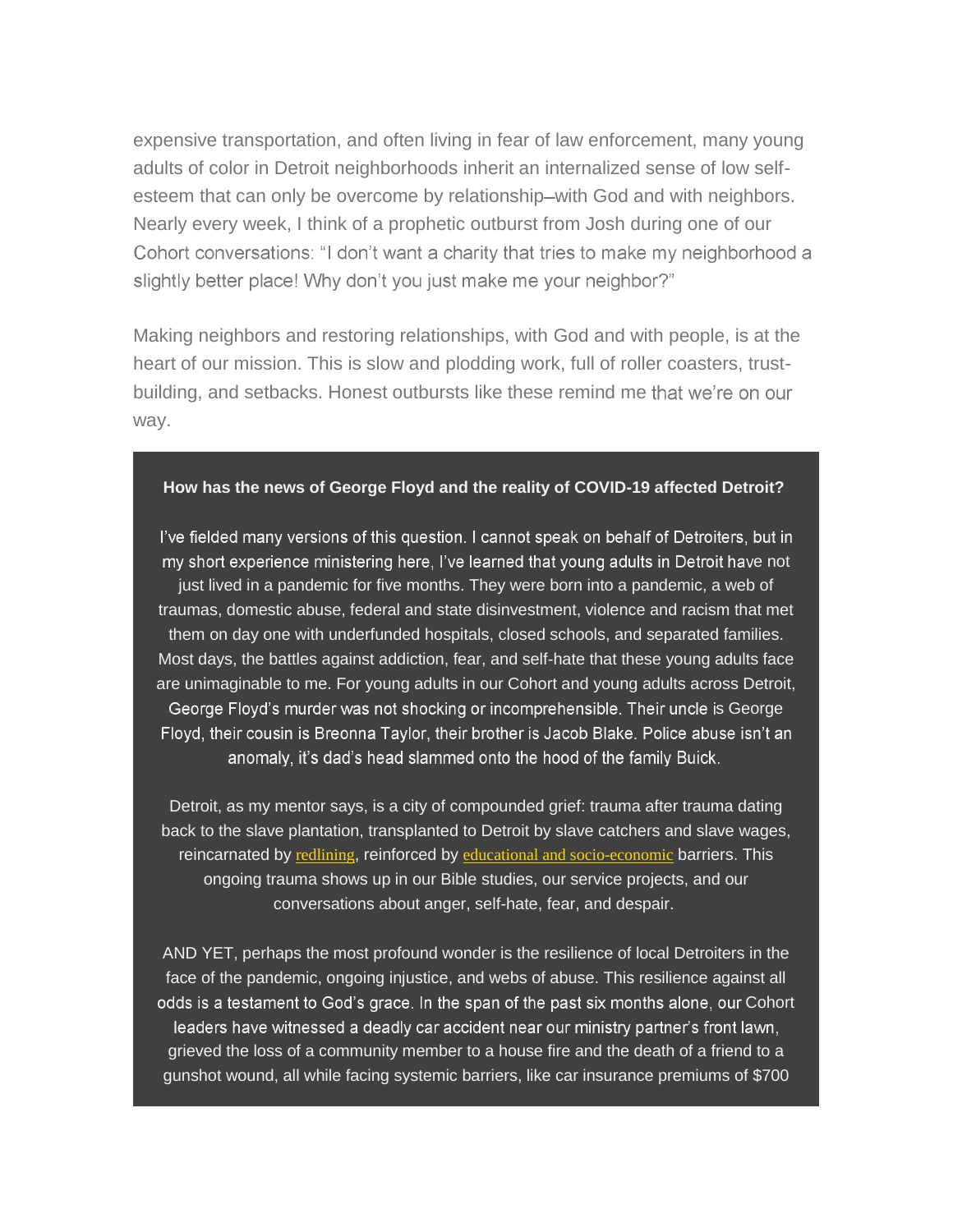expensive transportation, and often living in fear of law enforcement, many young adults of color in Detroit neighborhoods inherit an internalized sense of low selfesteem that can only be overcome by relationship–with God and with neighbors. Nearly every week, I think of a prophetic outburst from Josh during one of our Cohort conversations: "I don't want a charity that tries to make my neighborhood a slightly better place! Why don't you just make me your neighbor?"

Making neighbors and restoring relationships, with God and with people, is at the heart of our mission. This is slow and plodding work, full of roller coasters, trustbuilding, and setbacks. Honest outbursts like these remind me that we're on our way.

## **How has the news of George Floyd and the reality of COVID-19 affected Detroit?**

I've fielded many versions of this question. I cannot speak on behalf of Detroiters, but in my short experience ministering here, I've learned that young adults in Detroit have not just lived in a pandemic for five months. They were born into a pandemic, a web of traumas, domestic abuse, federal and state disinvestment, violence and racism that met them on day one with underfunded hospitals, closed schools, and separated families. Most days, the battles against addiction, fear, and self-hate that these young adults face are unimaginable to me. For young adults in our Cohort and young adults across Detroit, George Floyd's murder was not shocking or incomprehensible. Their uncle is George Floyd, their cousin is Breonna Taylor, their brother is Jacob Blake. Police abuse isn't an anomaly, it's dad's head slammed onto the hood of the family Buick.

Detroit, as my mentor says, is a city of compounded grief: trauma after trauma dating back to the slave plantation, transplanted to Detroit by slave catchers and slave wages, reincarnated by [redlining](https://nam02.safelinks.protection.outlook.com/?url=https%3A%2F%2Fresonateglobalmission.us9.list-manage.com%2Ftrack%2Fclick%3Fu%3D4690171b22d7a44aa4f860a7a%26id%3De7520f39f0%26e%3D636b6792f8&data=02%7C01%7C%7C64240ddcf50b4b74b1c008d85034e9cf%7C84df9e7fe9f640afb435aaaaaaaaaaaa%7C1%7C0%7C637347535474074107&sdata=Bhd91hKH%2BmEBAVfnQsKKxu7oSWVFF50mtuqsMQ0t%2F2c%3D&reserved=0), reinforced by educational and [socio-economic](https://nam02.safelinks.protection.outlook.com/?url=https%3A%2F%2Fresonateglobalmission.us9.list-manage.com%2Ftrack%2Fclick%3Fu%3D4690171b22d7a44aa4f860a7a%26id%3D9fa1dc31dd%26e%3D636b6792f8&data=02%7C01%7C%7C64240ddcf50b4b74b1c008d85034e9cf%7C84df9e7fe9f640afb435aaaaaaaaaaaa%7C1%7C0%7C637347535474084102&sdata=8D%2FkZCxcVgrUc1hD7Yq6fqbBCuz3dFvizqIwjnCrqCk%3D&reserved=0) barriers. This ongoing trauma shows up in our Bible studies, our service projects, and our conversations about anger, self-hate, fear, and despair.

AND YET, perhaps the most profound wonder is the resilience of local Detroiters in the face of the pandemic, ongoing injustice, and webs of abuse. This resilience against all odds is a testament to God's grace. In the span of the past six months alone, our Cohort leaders have witnessed a deadly car accident near our ministry partner's front lawn, grieved the loss of a community member to a house fire and the death of a friend to a gunshot wound, all while facing systemic barriers, like car insurance premiums of \$700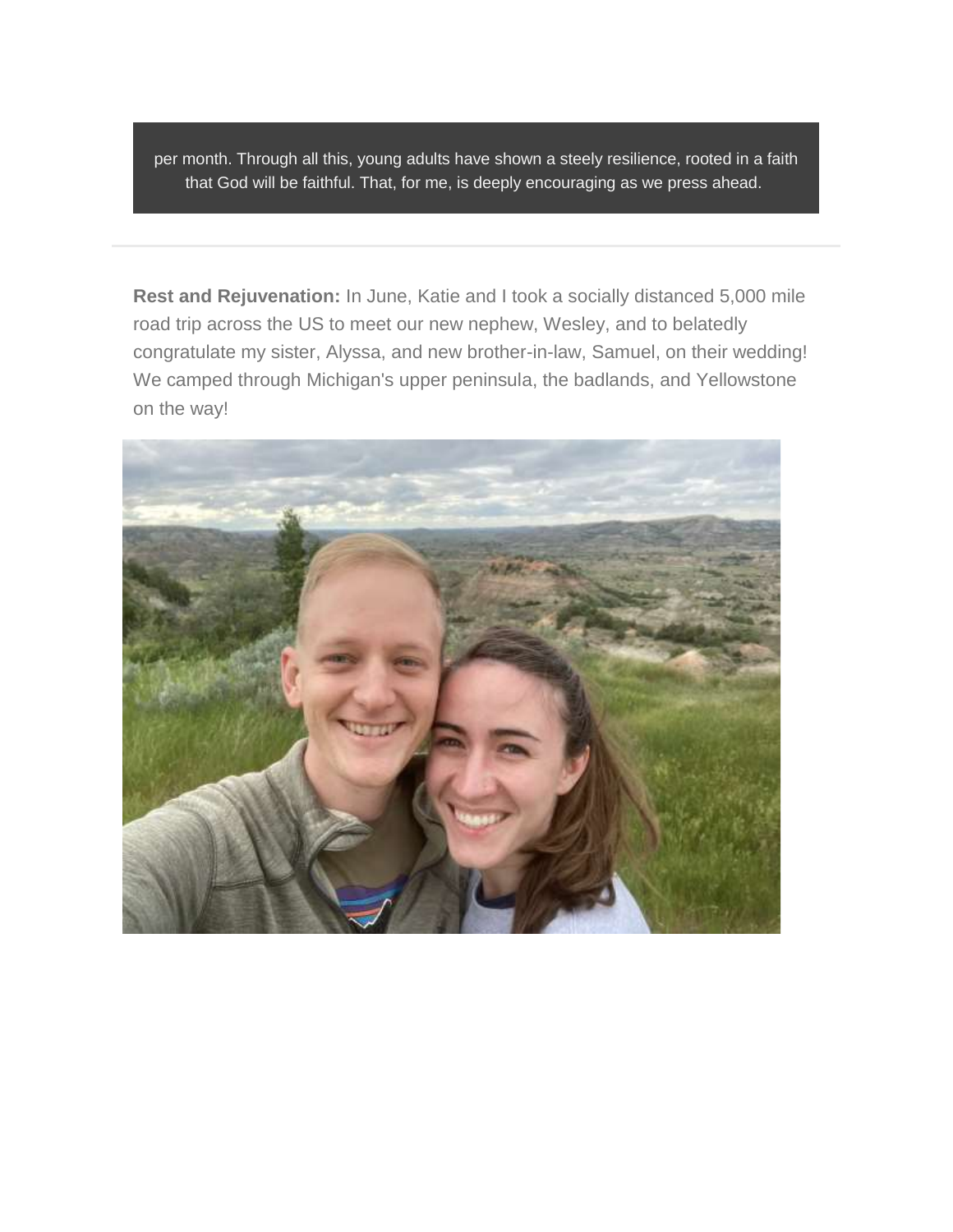per month. Through all this, young adults have shown a steely resilience, rooted in a faith that God will be faithful. That, for me, is deeply encouraging as we press ahead.

**Rest and Rejuvenation:** In June, Katie and I took a socially distanced 5,000 mile road trip across the US to meet our new nephew, Wesley, and to belatedly congratulate my sister, Alyssa, and new brother-in-law, Samuel, on their wedding! We camped through Michigan's upper peninsula, the badlands, and Yellowstone on the way!

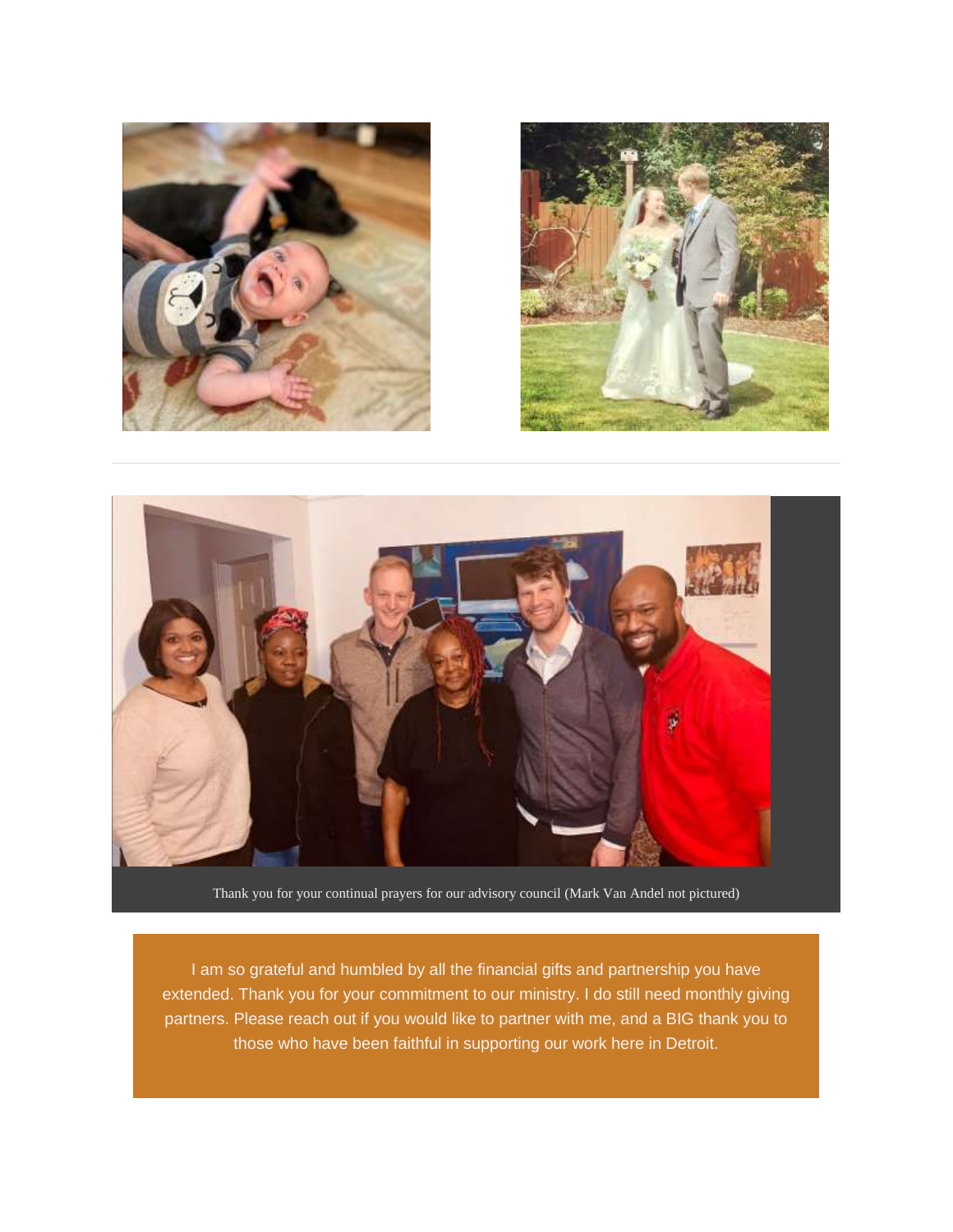





Thank you for your continual prayers for our advisory council (Mark Van Andel not pictured)

I am so grateful and humbled by all the financial gifts and partnership you have extended. Thank you for your commitment to our ministry. I do still need monthly giving partners. Please reach out if you would like to partner with me, and a BIG thank you to those who have been faithful in supporting our work here in Detroit.